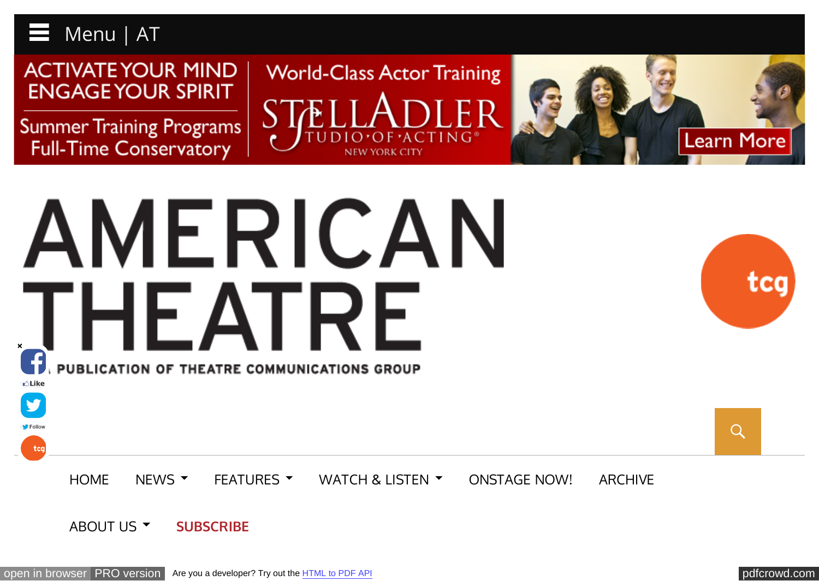

**V** 

Follow

tcg

**ACTIVATE YOUR MIND ENGAGE YOUR SPIRIT** 

**Summer Training Programs Full-Time Conservatory** 





# AMERICAN THEATRE PUBLICATION OF THEATRE COMMUNICATIONS GROUP **Like**

iC(

 $Q$ 

[HOME](http://www.americantheatre.org/) [NEWS](http://www.americantheatre.org/category/news/) [FEATURES](http://www.americantheatre.org/category/feature/) WATCH & LISTEN F[ONSTAGE NOW!](http://www.americantheatre.org/category/onstage-now/) [ARCHIVE](http://www.americantheatre.org/archive/)

#### [ABOUT US](http://www.americantheatre.org/about-us/) **THE [SUBSCRIBE](http://www.americantheatre.org/subscribe/)**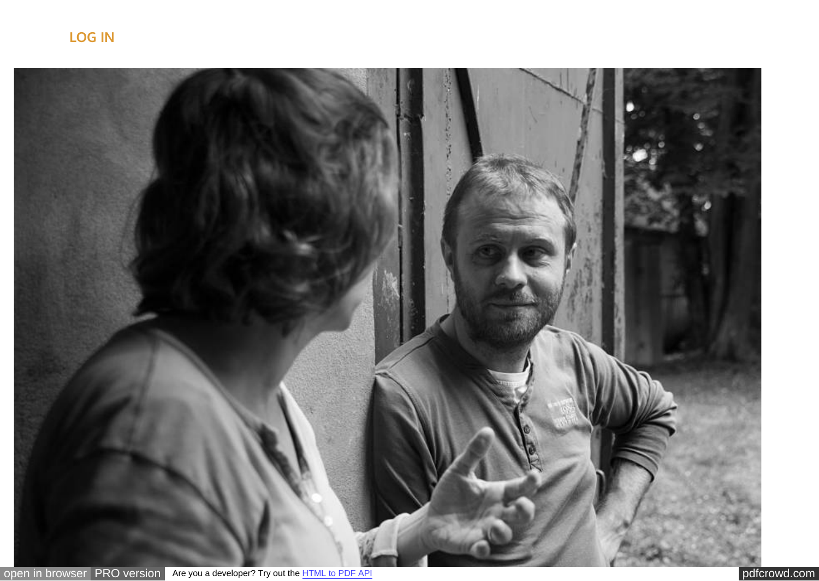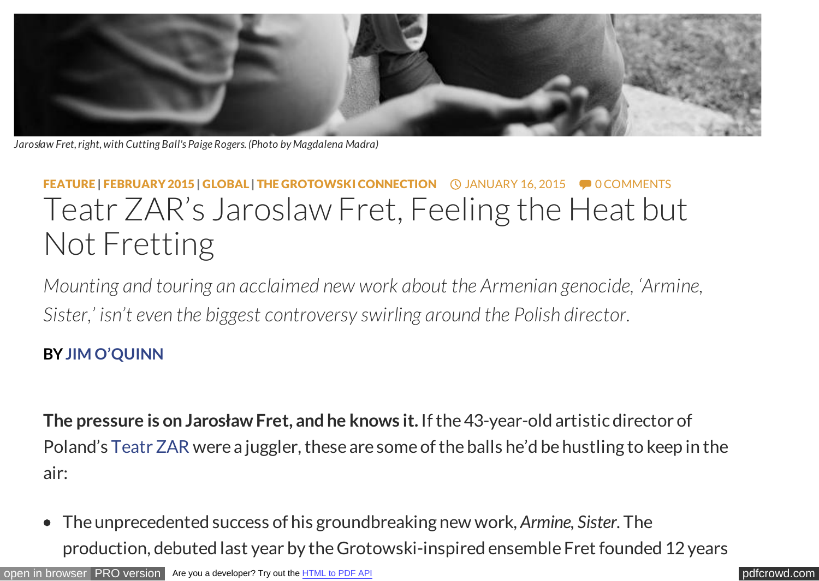

*Jarosław Fret, right, with Cutting Ball's Paige Rogers. (Photo by Magdalena Madra)*

## [FEATURE](http://www.americantheatre.org/category/feature/) | [FEBRUARY 2015](http://www.americantheatre.org/category/issue/february-2015/) | [GLOBAL](http://www.americantheatre.org/category/global/) | [THE GROTOWSKI CONNECTION](http://www.americantheatre.org/category/special-section/the-grotowski-connection/) **QUANUARY 16, 2015** • [0 COMMENTS](#page--1-0) Teatr ZAR's Jaroslaw Fret, Feeling the Heat but Not Fretting

*Mounting and touring an acclaimed new work about the Armenian genocide, 'Armine, Sister,' isn't even the biggest controversy swirling around the Polish director.*

### **BY [JIM O'QUINN](http://www.americantheatre.org/byline/jim-oquinn/)**

**The pressure is on Jarosław Fret, and he knows it.** If the 43-year-old artistic director of Poland's [Teatr ZAR](http://www.teatrzar.art.pl/en) were a juggler, these are some of the balls he'd be hustling to keep in the air:

The unprecedented success of his groundbreaking new work, *Armine, Sister*. The production, debuted last year by the Grotowski-inspired ensemble Fret founded 12 years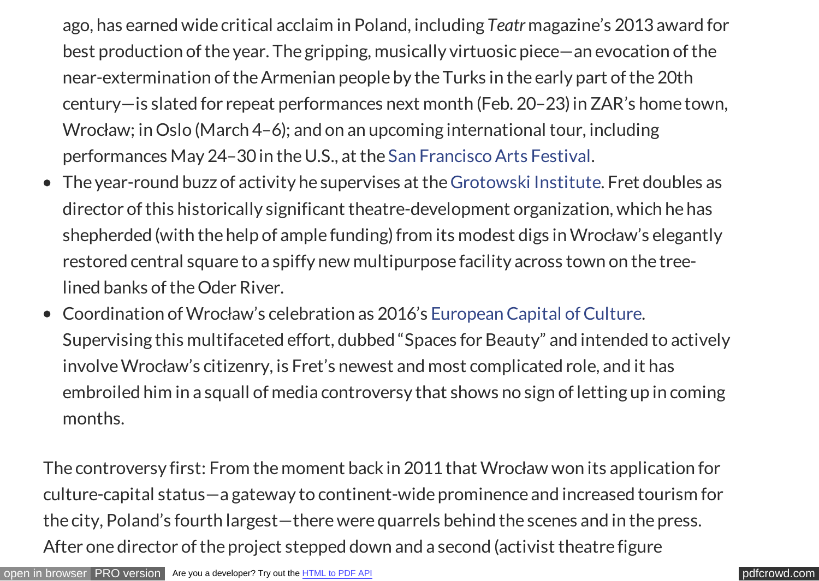ago, has earned wide critical acclaim in Poland, including *Teatr* magazine's 2013 award for best production of the year. The gripping, musically virtuosic piece—an evocation of the near-extermination of the Armenian people by the Turks in the early part of the 20th century—is slated for repeat performances next month (Feb. 20–23) in ZAR's home town, Wrocław; in Oslo (March 4–6); and on an upcoming international tour, including performances May 24–30 in the U.S., at the [San Francisco Arts Festival.](http://www.sfiaf.org/)

- The year-round buzz of activity he supervises at the [Grotowski Institute.](http://www.grotowski-institute.art.pl/index.php?lang=en) Fret doubles as director of this historically significant theatre-development organization, which he has shepherded (with the help of ample funding) from its modest digs in Wrocław's elegantly restored central square to a spiffy new multipurpose facility across town on the treelined banks of the Oder River.
- Coordination of Wrocław's celebration as 2016's [European Capital of Culture.](http://ec.europa.eu/programmes/creative-europe/actions/capitals-culture_en.htm) Supervising this multifaceted effort, dubbed "Spaces for Beauty" and intended to actively involve Wrocław's citizenry, is Fret's newest and most complicated role, and it has embroiled him in a squall of media controversy that shows no sign of letting up in coming months.

The controversy first: From the moment back in 2011 that Wrocław won its application for culture-capital status—a gateway to continent-wide prominence and increased tourism for the city, Poland's fourth largest—there were quarrels behind the scenes and in the press. After one director of the project stepped down and a second (activist theatre figure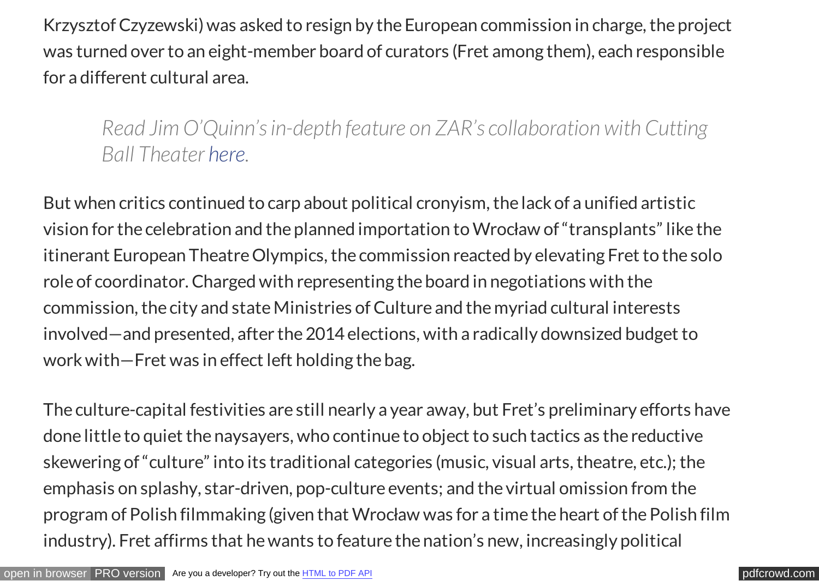Krzysztof Czyzewski) was asked to resign by the European commission in charge, the project was turned over to an eight-member board of curators (Fret among them), each responsible for a different cultural area.

*Read Jim O'Quinn's in-depth feature on ZAR's collaboration with Cutting Ball Theater [here.](http://www.americantheatre.org/2015/01/16/into-the-polish-woods-with-cutting-ball-and-teatr-zar/)*

But when critics continued to carp about political cronyism, the lack of a unified artistic vision for the celebration and the planned importation to Wrocław of "transplants" like the itinerant European Theatre Olympics, the commission reacted by elevating Fret to the solo role of coordinator. Charged with representing the board in negotiations with the commission, the city and state Ministries of Culture and the myriad cultural interests involved—and presented, after the 2014 elections, with a radically downsized budget to work with—Fret was in effect left holding the bag.

The culture-capital festivities are still nearly a year away, but Fret's preliminary efforts have done little to quiet the naysayers, who continue to object to such tactics as the reductive skewering of "culture" into its traditional categories (music, visual arts, theatre, etc.); the emphasis on splashy, star-driven, pop-culture events; and the virtual omission from the program of Polish filmmaking (given that Wrocław was for a time the heart of the Polish film industry). Fret affirms that he wants to feature the nation's new, increasingly political